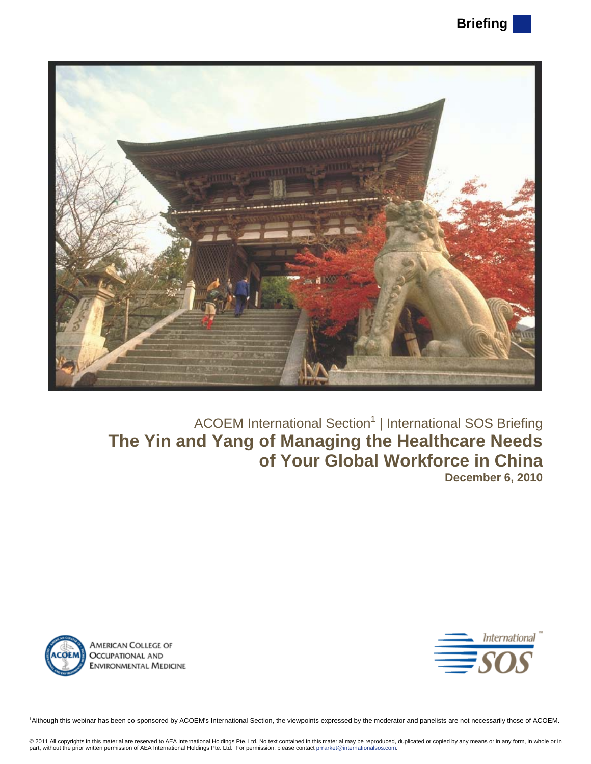

# ACOEM International Section<sup>1</sup> | International SOS Briefing **The Yin and Yang of Managing the Healthcare Needs of Your Global Workforce in China December 6, 2010**





<sup>1</sup>Although this webinar has been co-sponsored by ACOEM's International Section, the viewpoints expressed by the moderator and panelists are not necessarily those of ACOEM.

© 2011 All copyrights in this material are reserved to AEA International Holdings Pte. Ltd. No text contained in this material may be reproduced, duplicated or copied by any means or in any form, in whole or in<br>part, witho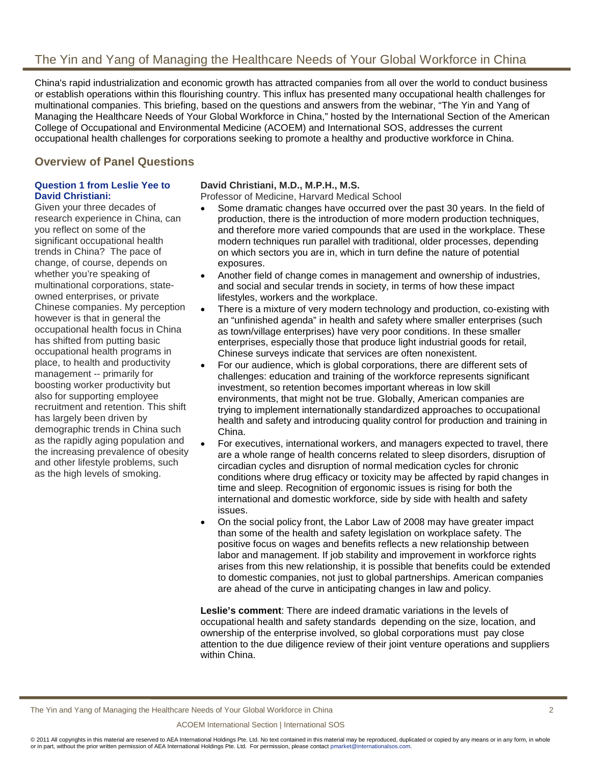# The Yin and Yang of Managing the Healthcare Needs of Your Global Workforce in China

China's rapid industrialization and economic growth has attracted companies from all over the world to conduct business or establish operations within this flourishing country. This influx has presented many occupational health challenges for multinational companies. This briefing, based on the questions and answers from the webinar, "The Yin and Yang of Managing the Healthcare Needs of Your Global Workforce in China," hosted by the International Section of the American College of Occupational and Environmental Medicine (ACOEM) and International SOS, addresses the current occupational health challenges for corporations seeking to promote a healthy and productive workforce in China.

## **Overview of Panel Questions**

## **Question 1 from Leslie Yee to David Christiani:**

Given your three decades of research experience in China, can you reflect on some of the significant occupational health trends in China? The pace of change, of course, depends on whether you're speaking of multinational corporations, stateowned enterprises, or private Chinese companies. My perception however is that in general the occupational health focus in China has shifted from putting basic occupational health programs in place, to health and productivity management -- primarily for boosting worker productivity but also for supporting employee recruitment and retention. This shift has largely been driven by demographic trends in China such as the rapidly aging population and the increasing prevalence of obesity and other lifestyle problems, such as the high levels of smoking.

## **David Christiani, M.D., M.P.H., M.S.**

Professor of Medicine, Harvard Medical School

- Some dramatic changes have occurred over the past 30 years. In the field of production, there is the introduction of more modern production techniques, and therefore more varied compounds that are used in the workplace. These modern techniques run parallel with traditional, older processes, depending on which sectors you are in, which in turn define the nature of potential exposures.
- Another field of change comes in management and ownership of industries, and social and secular trends in society, in terms of how these impact lifestyles, workers and the workplace.
- There is a mixture of very modern technology and production, co-existing with an "unfinished agenda" in health and safety where smaller enterprises (such as town/village enterprises) have very poor conditions. In these smaller enterprises, especially those that produce light industrial goods for retail, Chinese surveys indicate that services are often nonexistent.
- For our audience, which is global corporations, there are different sets of challenges: education and training of the workforce represents significant investment, so retention becomes important whereas in low skill environments, that might not be true. Globally, American companies are trying to implement internationally standardized approaches to occupational health and safety and introducing quality control for production and training in China.
- For executives, international workers, and managers expected to travel, there are a whole range of health concerns related to sleep disorders, disruption of circadian cycles and disruption of normal medication cycles for chronic conditions where drug efficacy or toxicity may be affected by rapid changes in time and sleep. Recognition of ergonomic issues is rising for both the international and domestic workforce, side by side with health and safety issues.
- On the social policy front, the Labor Law of 2008 may have greater impact than some of the health and safety legislation on workplace safety. The positive focus on wages and benefits reflects a new relationship between labor and management. If job stability and improvement in workforce rights arises from this new relationship, it is possible that benefits could be extended to domestic companies, not just to global partnerships. American companies are ahead of the curve in anticipating changes in law and policy.

**Leslie's comment**: There are indeed dramatic variations in the levels of occupational health and safety standards depending on the size, location, and ownership of the enterprise involved, so global corporations must pay close attention to the due diligence review of their joint venture operations and suppliers within China.

The Yin and Yang of Managing the Healthcare Needs of Your Global Workforce in China 2

#### ACOEM International Section | International SOS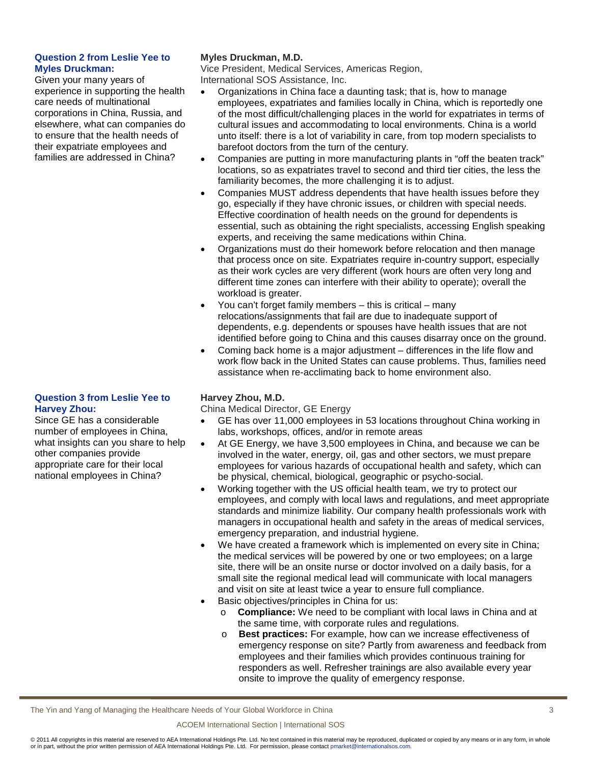## **Question 2 from Leslie Yee to Myles Druckman:**

Given your many years of experience in supporting the health care needs of multinational corporations in China, Russia, and elsewhere, what can companies do to ensure that the health needs of their expatriate employees and families are addressed in China?

## **Question 3 from Leslie Yee to Harvey Zhou:**

Since GE has a considerable number of employees in China, what insights can you share to help other companies provide appropriate care for their local national employees in China?

## **Myles Druckman, M.D.**

Vice President, Medical Services, Americas Region, International SOS Assistance, Inc.

- Organizations in China face a daunting task; that is, how to manage employees, expatriates and families locally in China, which is reportedly one of the most difficult/challenging places in the world for expatriates in terms of cultural issues and accommodating to local environments. China is a world unto itself: there is a lot of variability in care, from top modern specialists to barefoot doctors from the turn of the century.
- Companies are putting in more manufacturing plants in "off the beaten track" locations, so as expatriates travel to second and third tier cities, the less the familiarity becomes, the more challenging it is to adjust.
- Companies MUST address dependents that have health issues before they go, especially if they have chronic issues, or children with special needs. Effective coordination of health needs on the ground for dependents is essential, such as obtaining the right specialists, accessing English speaking experts, and receiving the same medications within China.
- Organizations must do their homework before relocation and then manage that process once on site. Expatriates require in-country support, especially as their work cycles are very different (work hours are often very long and different time zones can interfere with their ability to operate); overall the workload is greater.
- You can't forget family members this is critical many relocations/assignments that fail are due to inadequate support of dependents, e.g. dependents or spouses have health issues that are not identified before going to China and this causes disarray once on the ground.
- Coming back home is a major adjustment differences in the life flow and work flow back in the United States can cause problems. Thus, families need assistance when re-acclimating back to home environment also.

### **Harvey Zhou, M.D.**

China Medical Director, GE Energy

- GE has over 11,000 employees in 53 locations throughout China working in labs, workshops, offices, and/or in remote areas
- At GE Energy, we have 3,500 employees in China, and because we can be involved in the water, energy, oil, gas and other sectors, we must prepare employees for various hazards of occupational health and safety, which can be physical, chemical, biological, geographic or psycho-social.
- Working together with the US official health team, we try to protect our employees, and comply with local laws and regulations, and meet appropriate standards and minimize liability. Our company health professionals work with managers in occupational health and safety in the areas of medical services, emergency preparation, and industrial hygiene.
- We have created a framework which is implemented on every site in China; the medical services will be powered by one or two employees; on a large site, there will be an onsite nurse or doctor involved on a daily basis, for a small site the regional medical lead will communicate with local managers and visit on site at least twice a year to ensure full compliance.
- Basic objectives/principles in China for us:
	- o **Compliance:** We need to be compliant with local laws in China and at the same time, with corporate rules and regulations.
	- o **Best practices:** For example, how can we increase effectiveness of emergency response on site? Partly from awareness and feedback from employees and their families which provides continuous training for responders as well. Refresher trainings are also available every year onsite to improve the quality of emergency response.

The Yin and Yang of Managing the Healthcare Needs of Your Global Workforce in China 3

#### ACOEM International Section | International SOS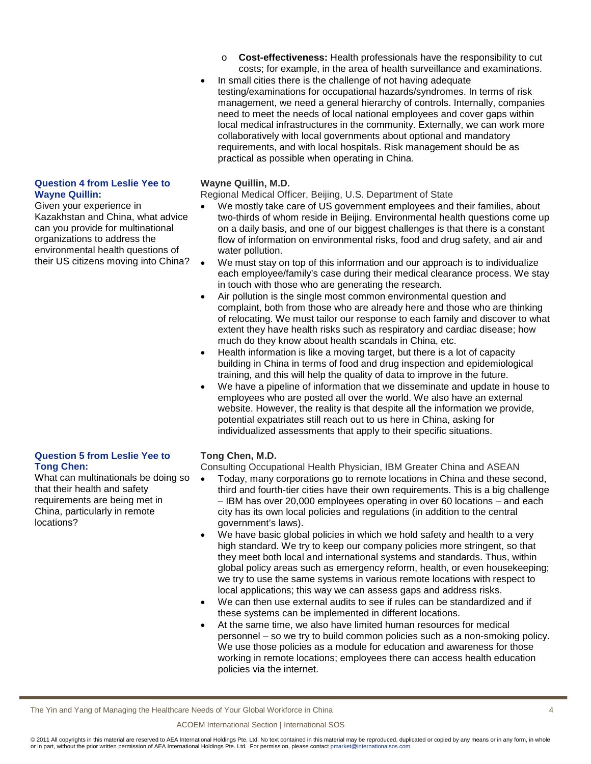- o **Cost-effectiveness:** Health professionals have the responsibility to cut costs; for example, in the area of health surveillance and examinations.
- In small cities there is the challenge of not having adequate testing/examinations for occupational hazards/syndromes. In terms of risk management, we need a general hierarchy of controls. Internally, companies need to meet the needs of local national employees and cover gaps within local medical infrastructures in the community. Externally, we can work more collaboratively with local governments about optional and mandatory requirements, and with local hospitals. Risk management should be as practical as possible when operating in China.

#### **Wayne Quillin, M.D.**

Regional Medical Officer, Beijing, U.S. Department of State

- We mostly take care of US government employees and their families, about two-thirds of whom reside in Beijing. Environmental health questions come up on a daily basis, and one of our biggest challenges is that there is a constant flow of information on environmental risks, food and drug safety, and air and water pollution.
- We must stay on top of this information and our approach is to individualize each employee/family's case during their medical clearance process. We stay in touch with those who are generating the research.
- Air pollution is the single most common environmental question and complaint, both from those who are already here and those who are thinking of relocating. We must tailor our response to each family and discover to what extent they have health risks such as respiratory and cardiac disease; how much do they know about health scandals in China, etc.
- Health information is like a moving target, but there is a lot of capacity building in China in terms of food and drug inspection and epidemiological training, and this will help the quality of data to improve in the future.
- We have a pipeline of information that we disseminate and update in house to employees who are posted all over the world. We also have an external website. However, the reality is that despite all the information we provide, potential expatriates still reach out to us here in China, asking for individualized assessments that apply to their specific situations.

### **Tong Chen, M.D.**

Consulting Occupational Health Physician, IBM Greater China and ASEAN

- Today, many corporations go to remote locations in China and these second, third and fourth-tier cities have their own requirements. This is a big challenge – IBM has over 20,000 employees operating in over 60 locations – and each city has its own local policies and regulations (in addition to the central government's laws).
- We have basic global policies in which we hold safety and health to a very high standard. We try to keep our company policies more stringent, so that they meet both local and international systems and standards. Thus, within global policy areas such as emergency reform, health, or even housekeeping; we try to use the same systems in various remote locations with respect to local applications; this way we can assess gaps and address risks.
- We can then use external audits to see if rules can be standardized and if these systems can be implemented in different locations.
- At the same time, we also have limited human resources for medical personnel – so we try to build common policies such as a non-smoking policy. We use those policies as a module for education and awareness for those working in remote locations; employees there can access health education policies via the internet.

The Yin and Yang of Managing the Healthcare Needs of Your Global Workforce in China 4

#### ACOEM International Section | International SOS

© 2011 All copyrights in this material are reserved to AEA International Holdings Pte. Ltd. No text contained in this material may be reproduced, duplicated or copied by any means or in any form, in whole or in part, without the prior written permission of AEA International Holdings Pte. Ltd. For permission, please contac[t pmarket@internationalsos.com.](mailto:pmarket@internationalsos.com) 

#### **Question 4 from Leslie Yee to Wayne Quillin:**

Given your experience in Kazakhstan and China, what advice can you provide for multinational organizations to address the environmental health questions of their US citizens moving into China?

#### **Question 5 from Leslie Yee to Tong Chen:**

What can multinationals be doing so that their health and safety requirements are being met in China, particularly in remote locations?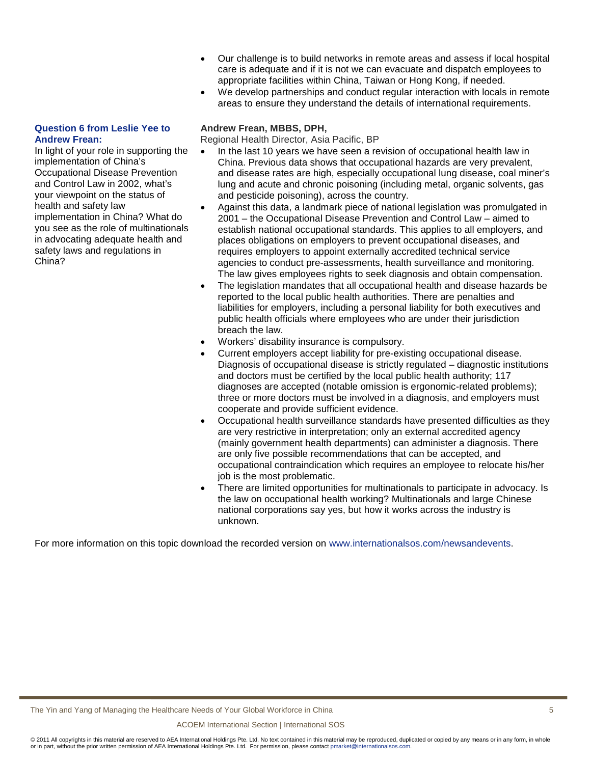- Our challenge is to build networks in remote areas and assess if local hospital care is adequate and if it is not we can evacuate and dispatch employees to appropriate facilities within China, Taiwan or Hong Kong, if needed.
- We develop partnerships and conduct regular interaction with locals in remote areas to ensure they understand the details of international requirements.

## **Question 6 from Leslie Yee to Andrew Frean:**

In light of your role in supporting the implementation of China's Occupational Disease Prevention and Control Law in 2002, what's your viewpoint on the status of health and safety law implementation in China? What do you see as the role of multinationals in advocating adequate health and safety laws and regulations in China?

## **Andrew Frean, MBBS, DPH,**

Regional Health Director, Asia Pacific, BP

- In the last 10 years we have seen a revision of occupational health law in China. Previous data shows that occupational hazards are very prevalent, and disease rates are high, especially occupational lung disease, coal miner's lung and acute and chronic poisoning (including metal, organic solvents, gas and pesticide poisoning), across the country.
- Against this data, a landmark piece of national legislation was promulgated in 2001 – the Occupational Disease Prevention and Control Law – aimed to establish national occupational standards. This applies to all employers, and places obligations on employers to prevent occupational diseases, and requires employers to appoint externally accredited technical service agencies to conduct pre-assessments, health surveillance and monitoring. The law gives employees rights to seek diagnosis and obtain compensation.
- The legislation mandates that all occupational health and disease hazards be reported to the local public health authorities. There are penalties and liabilities for employers, including a personal liability for both executives and public health officials where employees who are under their jurisdiction breach the law.
- Workers' disability insurance is compulsory.
- Current employers accept liability for pre-existing occupational disease. Diagnosis of occupational disease is strictly regulated – diagnostic institutions and doctors must be certified by the local public health authority; 117 diagnoses are accepted (notable omission is ergonomic-related problems); three or more doctors must be involved in a diagnosis, and employers must cooperate and provide sufficient evidence.
- Occupational health surveillance standards have presented difficulties as they are very restrictive in interpretation; only an external accredited agency (mainly government health departments) can administer a diagnosis. There are only five possible recommendations that can be accepted, and occupational contraindication which requires an employee to relocate his/her job is the most problematic.
- There are limited opportunities for multinationals to participate in advocacy. Is the law on occupational health working? Multinationals and large Chinese national corporations say yes, but how it works across the industry is unknown.

For more information on this topic download the recorded version on [www.internationalsos.com/newsandevents.](http://www.internationalsos.com/newsandevents)

ACOEM International Section | International SOS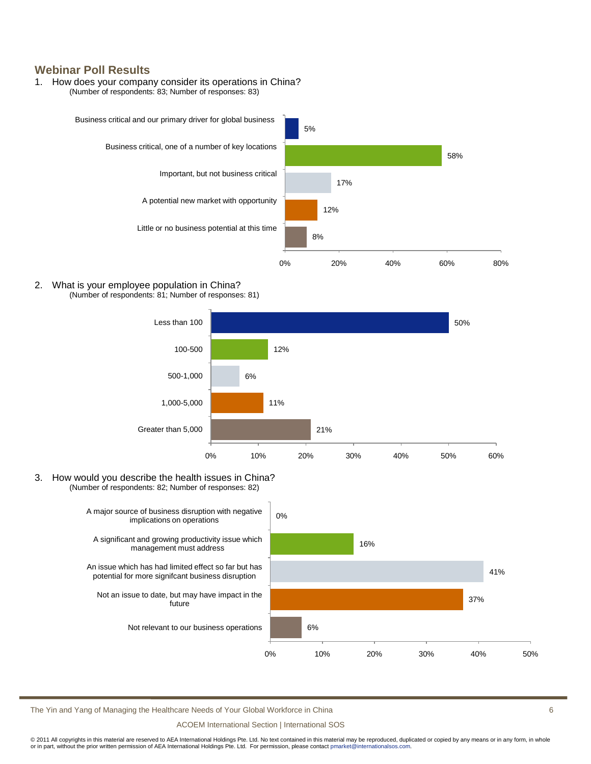## **Webinar Poll Results**

#### 1. How does your company consider its operations in China? (Number of respondents: 83; Number of responses: 83)



#### 2. What is your employee population in China? (Number of respondents: 81; Number of responses: 81)



3. How would you describe the health issues in China? (Number of respondents: 82; Number of responses: 82)



The Yin and Yang of Managing the Healthcare Needs of Your Global Workforce in China 6

ACOEM International Section | International SOS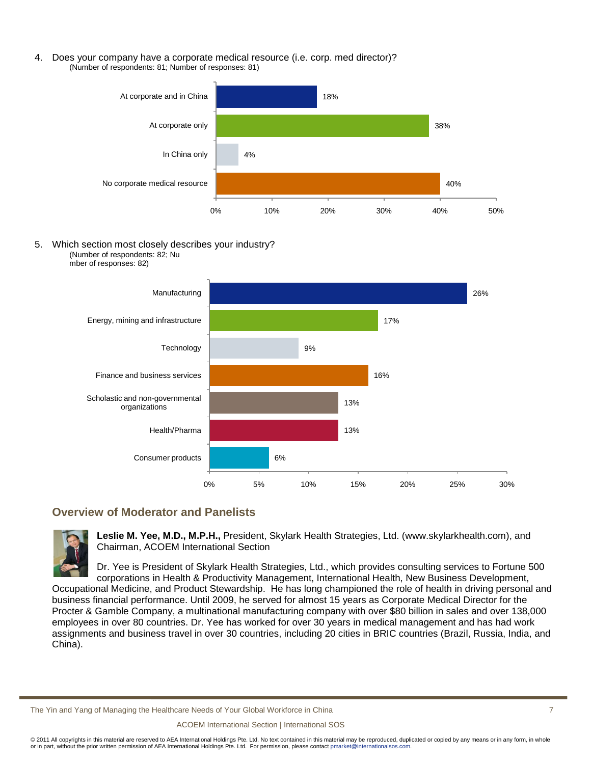4. Does your company have a corporate medical resource (i.e. corp. med director)? (Number of respondents: 81; Number of responses: 81)



5. Which section most closely describes your industry? (Number of respondents: 82; Nu mber of responses: 82)



# **Overview of Moderator and Panelists**



**Leslie M. Yee, M.D., M.P.H.,** President, Skylark Health Strategies, Ltd. (www.skylarkhealth.com), and Chairman, ACOEM International Section

Dr. Yee is President of Skylark Health Strategies, Ltd., which provides consulting services to Fortune 500 corporations in Health & Productivity Management, International Health, New Business Development,

Occupational Medicine, and Product Stewardship. He has long championed the role of health in driving personal and business financial performance. Until 2009, he served for almost 15 years as Corporate Medical Director for the Procter & Gamble Company, a multinational manufacturing company with over \$80 billion in sales and over 138,000 employees in over 80 countries. Dr. Yee has worked for over 30 years in medical management and has had work assignments and business travel in over 30 countries, including 20 cities in BRIC countries (Brazil, Russia, India, and China).

The Yin and Yang of Managing the Healthcare Needs of Your Global Workforce in China 7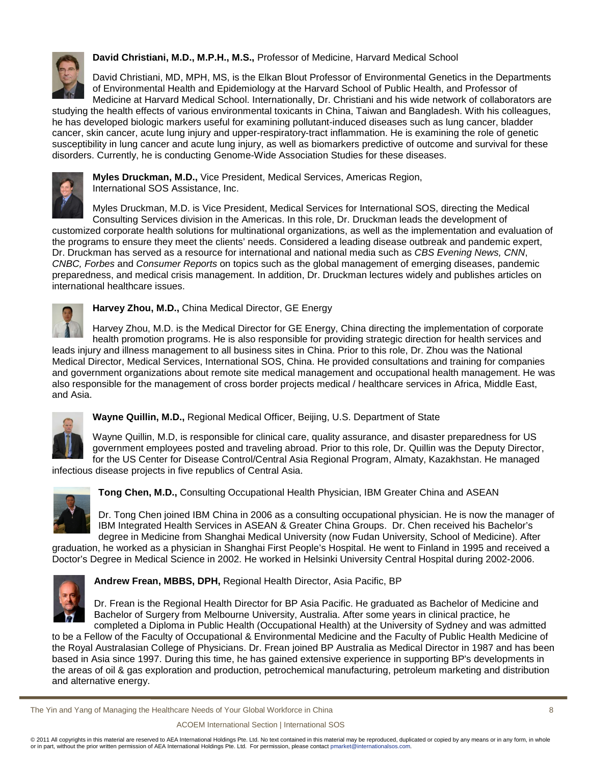

**David Christiani, M.D., M.P.H., M.S.,** Professor of Medicine, Harvard Medical School

David Christiani, MD, MPH, MS, is the Elkan Blout Professor of Environmental Genetics in the Departments of Environmental Health and Epidemiology at the Harvard School of Public Health, and Professor of Medicine at Harvard Medical School. Internationally, Dr. Christiani and his wide network of collaborators are

studying the health effects of various environmental toxicants in China, Taiwan and Bangladesh. With his colleagues, he has developed biologic markers useful for examining pollutant-induced diseases such as lung cancer, bladder cancer, skin cancer, acute lung injury and upper-respiratory-tract inflammation. He is examining the role of genetic susceptibility in lung cancer and acute lung injury, as well as biomarkers predictive of outcome and survival for these disorders. Currently, he is conducting Genome-Wide Association Studies for these diseases.



**Myles Druckman, M.D.,** Vice President, Medical Services, Americas Region, International SOS Assistance, Inc.

Myles Druckman, M.D. is Vice President, Medical Services for International SOS, directing the Medical Consulting Services division in the Americas. In this role, Dr. Druckman leads the development of customized corporate health solutions for multinational organizations, as well as the implementation and evaluation of the programs to ensure they meet the clients' needs. Considered a leading disease outbreak and pandemic expert, Dr. Druckman has served as a resource for international and national media such as *CBS Evening News, CNN*, *CNBC, Forbes* and *Consumer Reports* on topics such as the global management of emerging diseases, pandemic preparedness, and medical crisis management. In addition, Dr. Druckman lectures widely and publishes articles on international healthcare issues.



## **Harvey Zhou, M.D.,** China Medical Director, GE Energy

Harvey Zhou, M.D. is the Medical Director for GE Energy, China directing the implementation of corporate health promotion programs. He is also responsible for providing strategic direction for health services and

leads injury and illness management to all business sites in China. Prior to this role, Dr. Zhou was the National Medical Director, Medical Services, International SOS, China. He provided consultations and training for companies and government organizations about remote site medical management and occupational health management. He was also responsible for the management of cross border projects medical / healthcare services in Africa, Middle East, and Asia.



**Wayne Quillin, M.D.,** Regional Medical Officer, Beijing, U.S. Department of State

Wayne Quillin, M.D, is responsible for clinical care, quality assurance, and disaster preparedness for US government employees posted and traveling abroad. Prior to this role, Dr. Quillin was the Deputy Director, for the US Center for Disease Control/Central Asia Regional Program, Almaty, Kazakhstan. He managed

infectious disease projects in five republics of Central Asia.



**Tong Chen, M.D.,** Consulting Occupational Health Physician, IBM Greater China and ASEAN

Dr. Tong Chen joined IBM China in 2006 as a consulting occupational physician. He is now the manager of IBM Integrated Health Services in ASEAN & Greater China Groups. Dr. Chen received his Bachelor's degree in Medicine from Shanghai Medical University (now Fudan University, School of Medicine). After

graduation, he worked as a physician in Shanghai First People's Hospital. He went to Finland in 1995 and received a Doctor's Degree in Medical Science in 2002. He worked in Helsinki University Central Hospital during 2002-2006.



**Andrew Frean, MBBS, DPH,** Regional Health Director, Asia Pacific, BP

Dr. Frean is the Regional Health Director for BP Asia Pacific. He graduated as Bachelor of Medicine and Bachelor of Surgery from Melbourne University, Australia. After some years in clinical practice, he completed a Diploma in Public Health (Occupational Health) at the University of Sydney and was admitted

to be a Fellow of the Faculty of Occupational & Environmental Medicine and the Faculty of Public Health Medicine of the Royal Australasian College of Physicians. Dr. Frean joined BP Australia as Medical Director in 1987 and has been based in Asia since 1997. During this time, he has gained extensive experience in supporting BP's developments in the areas of oil & gas exploration and production, petrochemical manufacturing, petroleum marketing and distribution and alternative energy.

The Yin and Yang of Managing the Healthcare Needs of Your Global Workforce in China 8